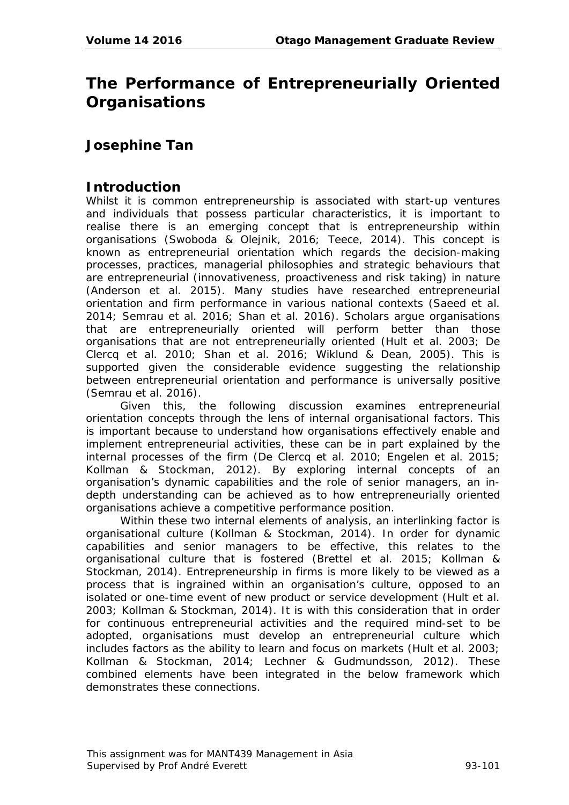# **The Performance of Entrepreneurially Oriented Organisations**

# **Josephine Tan**

#### **Introduction**

Whilst it is common entrepreneurship is associated with start-up ventures and individuals that possess particular characteristics, it is important to realise there is an emerging concept that is entrepreneurship within organisations (Swoboda & Olejnik, 2016; Teece, 2014). This concept is known as entrepreneurial orientation which regards the decision-making processes, practices, managerial philosophies and strategic behaviours that are entrepreneurial (innovativeness, proactiveness and risk taking) in nature (Anderson et al. 2015). Many studies have researched entrepreneurial orientation and firm performance in various national contexts (Saeed et al. 2014; Semrau et al. 2016; Shan et al. 2016). Scholars argue organisations that are entrepreneurially oriented will perform better than those organisations that are not entrepreneurially oriented (Hult et al. 2003; De Clercq et al. 2010; Shan et al. 2016; Wiklund & Dean, 2005). This is supported given the considerable evidence suggesting the relationship between entrepreneurial orientation and performance is universally positive (Semrau et al. 2016).

Given this, the following discussion examines entrepreneurial orientation concepts through the lens of internal organisational factors. This is important because to understand how organisations effectively enable and implement entrepreneurial activities, these can be in part explained by the internal processes of the firm (De Clercq et al. 2010; Engelen et al. 2015; Kollman & Stockman, 2012). By exploring internal concepts of an organisation's dynamic capabilities and the role of senior managers, an indepth understanding can be achieved as to how entrepreneurially oriented organisations achieve a competitive performance position.

Within these two internal elements of analysis, an interlinking factor is organisational culture (Kollman & Stockman, 2014). In order for dynamic capabilities and senior managers to be effective, this relates to the organisational culture that is fostered (Brettel et al. 2015; Kollman & Stockman, 2014). Entrepreneurship in firms is more likely to be viewed as a process that is ingrained within an organisation's culture, opposed to an isolated or one-time event of new product or service development (Hult et al. 2003; Kollman & Stockman, 2014). It is with this consideration that in order for continuous entrepreneurial activities and the required mind-set to be adopted, organisations must develop an entrepreneurial culture which includes factors as the ability to learn and focus on markets (Hult et al. 2003; Kollman & Stockman, 2014; Lechner & Gudmundsson, 2012). These combined elements have been integrated in the below framework which demonstrates these connections.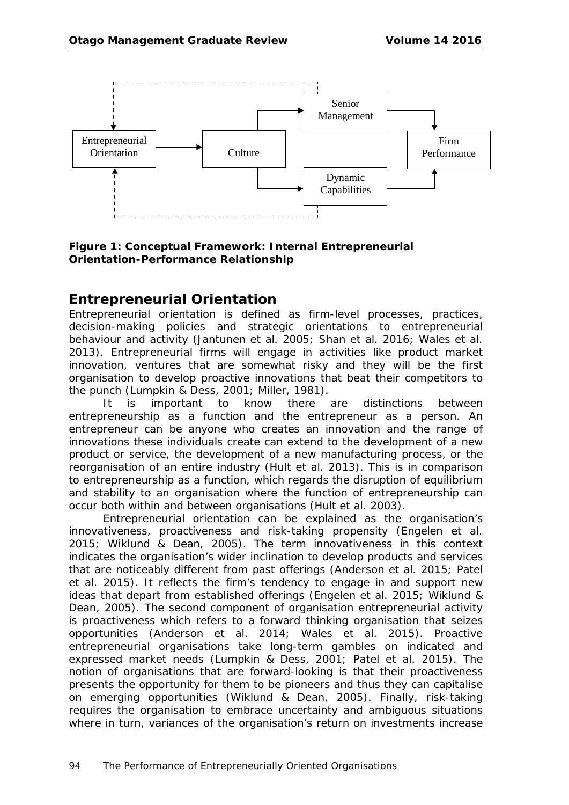

#### **Figure 1: Conceptual Framework: Internal Entrepreneurial Orientation-Performance Relationship**

## **Entrepreneurial Orientation**

Entrepreneurial orientation is defined as firm-level processes, practices, decision-making policies and strategic orientations to entrepreneurial behaviour and activity (Jantunen et al. 2005; Shan et al. 2016; Wales et al. 2013). Entrepreneurial firms will engage in activities like product market innovation, ventures that are somewhat risky and they will be the first organisation to develop proactive innovations that beat their competitors to the punch (Lumpkin & Dess, 2001; Miller, 1981).

It is important to know there are distinctions between entrepreneurship as a function and the entrepreneur as a person. An entrepreneur can be anyone who creates an innovation and the range of innovations these individuals create can extend to the development of a new product or service, the development of a new manufacturing process, or the reorganisation of an entire industry (Hult et al. 2013). This is in comparison to entrepreneurship as a function, which regards the disruption of equilibrium and stability to an organisation where the function of entrepreneurship can occur both within and between organisations (Hult et al. 2003).

Entrepreneurial orientation can be explained as the organisation's innovativeness, proactiveness and risk-taking propensity (Engelen et al. 2015; Wiklund & Dean, 2005). The term innovativeness in this context indicates the organisation's wider inclination to develop products and services that are noticeably different from past offerings (Anderson et al. 2015; Patel et al. 2015). It reflects the firm's tendency to engage in and support new ideas that depart from established offerings (Engelen et al. 2015; Wiklund & Dean, 2005). The second component of organisation entrepreneurial activity is proactiveness which refers to a forward thinking organisation that seizes opportunities (Anderson et al. 2014; Wales et al. 2015). Proactive entrepreneurial organisations take long-term gambles on indicated and expressed market needs (Lumpkin & Dess, 2001; Patel et al. 2015). The notion of organisations that are forward-looking is that their proactiveness presents the opportunity for them to be pioneers and thus they can capitalise on emerging opportunities (Wiklund & Dean, 2005). Finally, risk-taking requires the organisation to embrace uncertainty and ambiguous situations where in turn, variances of the organisation's return on investments increase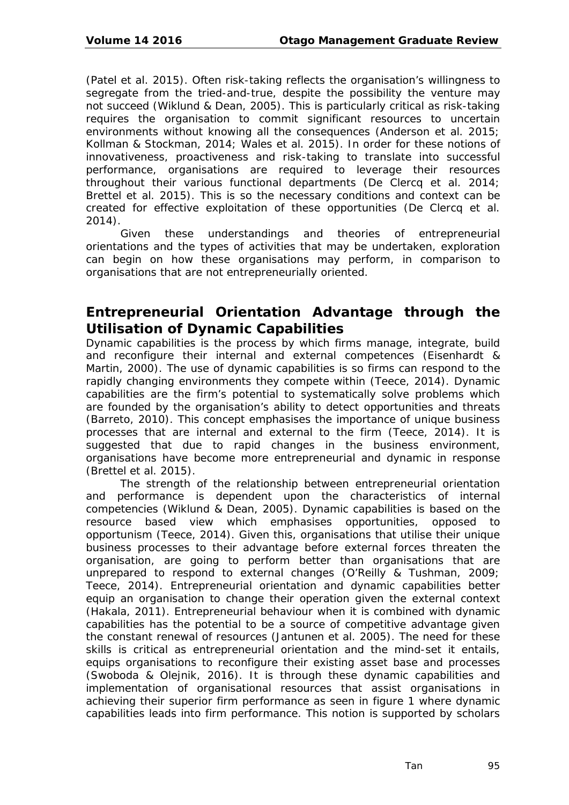(Patel et al. 2015). Often risk-taking reflects the organisation's willingness to segregate from the tried-and-true, despite the possibility the venture may not succeed (Wiklund & Dean, 2005). This is particularly critical as risk-taking requires the organisation to commit significant resources to uncertain environments without knowing all the consequences (Anderson et al. 2015; Kollman & Stockman, 2014; Wales et al. 2015). In order for these notions of innovativeness, proactiveness and risk-taking to translate into successful performance, organisations are required to leverage their resources throughout their various functional departments (De Clercq et al. 2014; Brettel et al. 2015). This is so the necessary conditions and context can be created for effective exploitation of these opportunities (De Clercq et al. 2014).

Given these understandings and theories of entrepreneurial orientations and the types of activities that may be undertaken, exploration can begin on how these organisations may perform, in comparison to organisations that are not entrepreneurially oriented.

# **Entrepreneurial Orientation Advantage through the Utilisation of Dynamic Capabilities**

Dynamic capabilities is the process by which firms manage, integrate, build and reconfigure their internal and external competences (Eisenhardt & Martin, 2000). The use of dynamic capabilities is so firms can respond to the rapidly changing environments they compete within (Teece, 2014). Dynamic capabilities are the firm's potential to systematically solve problems which are founded by the organisation's ability to detect opportunities and threats (Barreto, 2010). This concept emphasises the importance of unique business processes that are internal and external to the firm (Teece, 2014). It is suggested that due to rapid changes in the business environment, organisations have become more entrepreneurial and dynamic in response (Brettel et al. 2015).

The strength of the relationship between entrepreneurial orientation and performance is dependent upon the characteristics of internal competencies (Wiklund & Dean, 2005). Dynamic capabilities is based on the resource based view which emphasises opportunities, opposed to opportunism (Teece, 2014). Given this, organisations that utilise their unique business processes to their advantage before external forces threaten the organisation, are going to perform better than organisations that are unprepared to respond to external changes (O'Reilly & Tushman, 2009; Teece, 2014). Entrepreneurial orientation and dynamic capabilities better equip an organisation to change their operation given the external context (Hakala, 2011). Entrepreneurial behaviour when it is combined with dynamic capabilities has the potential to be a source of competitive advantage given the constant renewal of resources (Jantunen et al. 2005). The need for these skills is critical as entrepreneurial orientation and the mind-set it entails, equips organisations to reconfigure their existing asset base and processes (Swoboda & Olejnik, 2016). It is through these dynamic capabilities and implementation of organisational resources that assist organisations in achieving their superior firm performance as seen in figure 1 where dynamic capabilities leads into firm performance. This notion is supported by scholars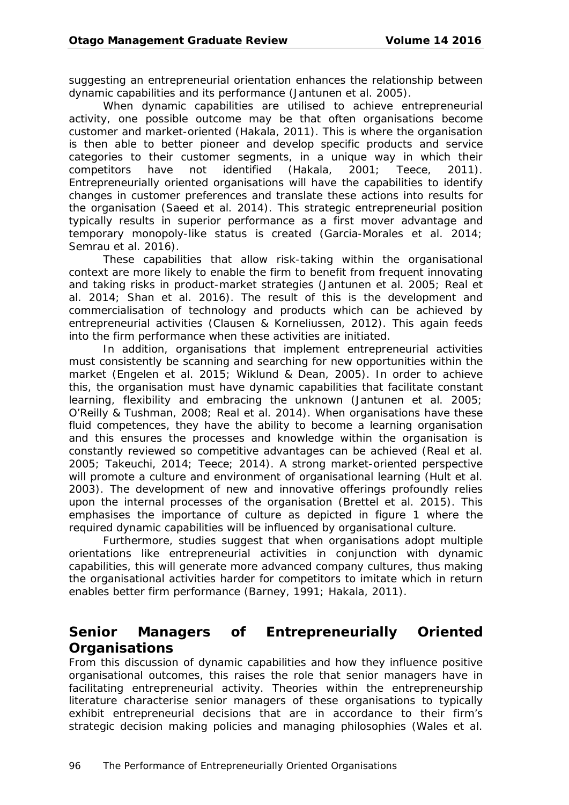suggesting an entrepreneurial orientation enhances the relationship between dynamic capabilities and its performance (Jantunen et al. 2005).

When dynamic capabilities are utilised to achieve entrepreneurial activity, one possible outcome may be that often organisations become customer and market-oriented (Hakala, 2011). This is where the organisation is then able to better pioneer and develop specific products and service categories to their customer segments, in a unique way in which their competitors have not identified (Hakala, 2001; Teece, 2011). Entrepreneurially oriented organisations will have the capabilities to identify changes in customer preferences and translate these actions into results for the organisation (Saeed et al. 2014). This strategic entrepreneurial position typically results in superior performance as a first mover advantage and temporary monopoly-like status is created (Garcia-Morales et al. 2014; Semrau et al. 2016).

These capabilities that allow risk-taking within the organisational context are more likely to enable the firm to benefit from frequent innovating and taking risks in product-market strategies (Jantunen et al. 2005; Real et al. 2014; Shan et al. 2016). The result of this is the development and commercialisation of technology and products which can be achieved by entrepreneurial activities (Clausen & Korneliussen, 2012). This again feeds into the firm performance when these activities are initiated.

In addition, organisations that implement entrepreneurial activities must consistently be scanning and searching for new opportunities within the market (Engelen et al. 2015; Wiklund & Dean, 2005). In order to achieve this, the organisation must have dynamic capabilities that facilitate constant learning, flexibility and embracing the unknown (Jantunen et al. 2005; O'Reilly & Tushman, 2008; Real et al. 2014). When organisations have these fluid competences, they have the ability to become a learning organisation and this ensures the processes and knowledge within the organisation is constantly reviewed so competitive advantages can be achieved (Real et al. 2005; Takeuchi, 2014; Teece; 2014). A strong market-oriented perspective will promote a culture and environment of organisational learning (Hult et al. 2003). The development of new and innovative offerings profoundly relies upon the internal processes of the organisation (Brettel et al. 2015). This emphasises the importance of culture as depicted in figure 1 where the required dynamic capabilities will be influenced by organisational culture.

Furthermore, studies suggest that when organisations adopt multiple orientations like entrepreneurial activities in conjunction with dynamic capabilities, this will generate more advanced company cultures, thus making the organisational activities harder for competitors to imitate which in return enables better firm performance (Barney, 1991; Hakala, 2011).

## **Senior Managers of Entrepreneurially Oriented Organisations**

From this discussion of dynamic capabilities and how they influence positive organisational outcomes, this raises the role that senior managers have in facilitating entrepreneurial activity. Theories within the entrepreneurship literature characterise senior managers of these organisations to typically exhibit entrepreneurial decisions that are in accordance to their firm's strategic decision making policies and managing philosophies (Wales et al.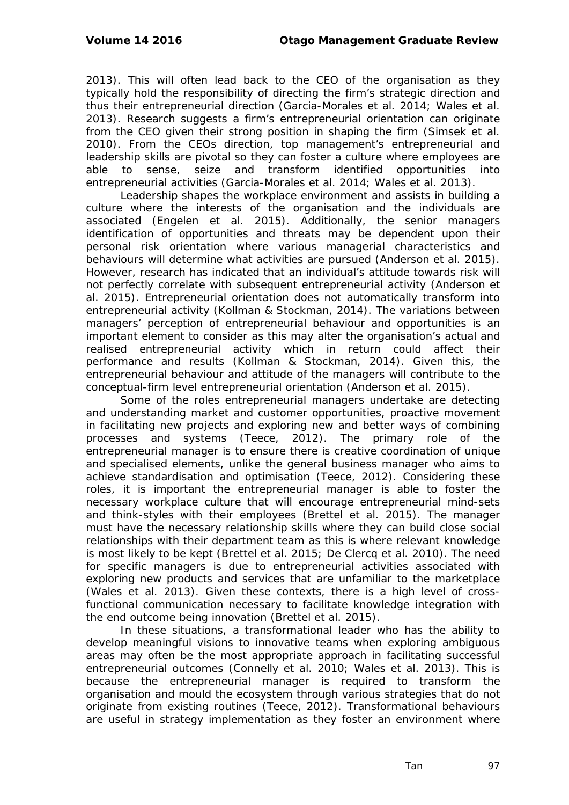2013). This will often lead back to the CEO of the organisation as they typically hold the responsibility of directing the firm's strategic direction and thus their entrepreneurial direction (Garcia-Morales et al. 2014; Wales et al. 2013). Research suggests a firm's entrepreneurial orientation can originate from the CEO given their strong position in shaping the firm (Simsek et al. 2010). From the CEOs direction, top management's entrepreneurial and leadership skills are pivotal so they can foster a culture where employees are able to sense, seize and transform identified opportunities into entrepreneurial activities (Garcia-Morales et al. 2014; Wales et al. 2013).

Leadership shapes the workplace environment and assists in building a culture where the interests of the organisation and the individuals are associated (Engelen et al. 2015). Additionally, the senior managers identification of opportunities and threats may be dependent upon their personal risk orientation where various managerial characteristics and behaviours will determine what activities are pursued (Anderson et al. 2015). However, research has indicated that an individual's attitude towards risk will not perfectly correlate with subsequent entrepreneurial activity (Anderson et al. 2015). Entrepreneurial orientation does not automatically transform into entrepreneurial activity (Kollman & Stockman, 2014). The variations between managers' perception of entrepreneurial behaviour and opportunities is an important element to consider as this may alter the organisation's actual and realised entrepreneurial activity which in return could affect their performance and results (Kollman & Stockman, 2014). Given this, the entrepreneurial behaviour and attitude of the managers will contribute to the conceptual-firm level entrepreneurial orientation (Anderson et al. 2015).

Some of the roles entrepreneurial managers undertake are detecting and understanding market and customer opportunities, proactive movement in facilitating new projects and exploring new and better ways of combining processes and systems (Teece, 2012). The primary role of the entrepreneurial manager is to ensure there is creative coordination of unique and specialised elements, unlike the general business manager who aims to achieve standardisation and optimisation (Teece, 2012). Considering these roles, it is important the entrepreneurial manager is able to foster the necessary workplace culture that will encourage entrepreneurial mind-sets and think-styles with their employees (Brettel et al. 2015). The manager must have the necessary relationship skills where they can build close social relationships with their department team as this is where relevant knowledge is most likely to be kept (Brettel et al. 2015; De Clercq et al. 2010). The need for specific managers is due to entrepreneurial activities associated with exploring new products and services that are unfamiliar to the marketplace (Wales et al. 2013). Given these contexts, there is a high level of crossfunctional communication necessary to facilitate knowledge integration with the end outcome being innovation (Brettel et al. 2015).

In these situations, a transformational leader who has the ability to develop meaningful visions to innovative teams when exploring ambiguous areas may often be the most appropriate approach in facilitating successful entrepreneurial outcomes (Connelly et al. 2010; Wales et al. 2013). This is because the entrepreneurial manager is required to transform the organisation and mould the ecosystem through various strategies that do not originate from existing routines (Teece, 2012). Transformational behaviours are useful in strategy implementation as they foster an environment where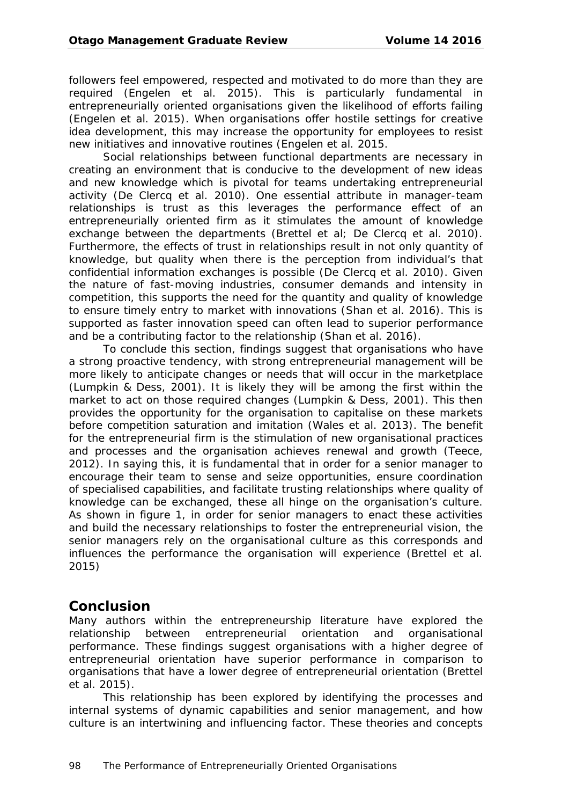followers feel empowered, respected and motivated to do more than they are required (Engelen et al. 2015). This is particularly fundamental in entrepreneurially oriented organisations given the likelihood of efforts failing (Engelen et al. 2015). When organisations offer hostile settings for creative idea development, this may increase the opportunity for employees to resist new initiatives and innovative routines (Engelen et al. 2015.

Social relationships between functional departments are necessary in creating an environment that is conducive to the development of new ideas and new knowledge which is pivotal for teams undertaking entrepreneurial activity (De Clercq et al. 2010). One essential attribute in manager-team relationships is trust as this leverages the performance effect of an entrepreneurially oriented firm as it stimulates the amount of knowledge exchange between the departments (Brettel et al; De Clercq et al. 2010). Furthermore, the effects of trust in relationships result in not only quantity of knowledge, but quality when there is the perception from individual's that confidential information exchanges is possible (De Clercq et al. 2010). Given the nature of fast-moving industries, consumer demands and intensity in competition, this supports the need for the quantity and quality of knowledge to ensure timely entry to market with innovations (Shan et al. 2016). This is supported as faster innovation speed can often lead to superior performance and be a contributing factor to the relationship (Shan et al. 2016).

To conclude this section, findings suggest that organisations who have a strong proactive tendency, with strong entrepreneurial management will be more likely to anticipate changes or needs that will occur in the marketplace (Lumpkin & Dess, 2001). It is likely they will be among the first within the market to act on those required changes (Lumpkin & Dess, 2001). This then provides the opportunity for the organisation to capitalise on these markets before competition saturation and imitation (Wales et al. 2013). The benefit for the entrepreneurial firm is the stimulation of new organisational practices and processes and the organisation achieves renewal and growth (Teece, 2012). In saying this, it is fundamental that in order for a senior manager to encourage their team to sense and seize opportunities, ensure coordination of specialised capabilities, and facilitate trusting relationships where quality of knowledge can be exchanged, these all hinge on the organisation's culture. As shown in figure 1, in order for senior managers to enact these activities and build the necessary relationships to foster the entrepreneurial vision, the senior managers rely on the organisational culture as this corresponds and influences the performance the organisation will experience (Brettel et al. 2015)

#### **Conclusion**

Many authors within the entrepreneurship literature have explored the relationship between entrepreneurial orientation and organisational performance. These findings suggest organisations with a higher degree of entrepreneurial orientation have superior performance in comparison to organisations that have a lower degree of entrepreneurial orientation (Brettel et al. 2015).

This relationship has been explored by identifying the processes and internal systems of dynamic capabilities and senior management, and how culture is an intertwining and influencing factor. These theories and concepts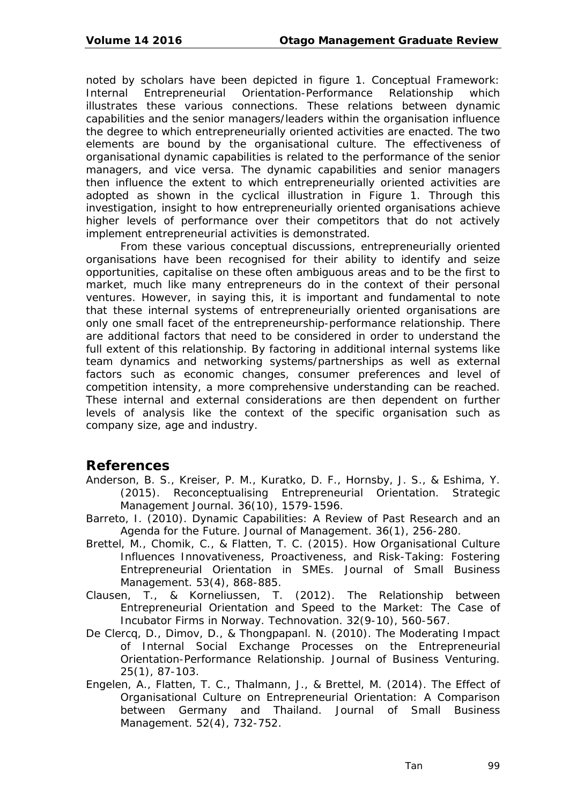noted by scholars have been depicted in figure 1. Conceptual Framework: Internal Entrepreneurial Orientation-Performance Relationship which illustrates these various connections. These relations between dynamic capabilities and the senior managers/leaders within the organisation influence the degree to which entrepreneurially oriented activities are enacted. The two elements are bound by the organisational culture. The effectiveness of organisational dynamic capabilities is related to the performance of the senior managers, and vice versa. The dynamic capabilities and senior managers then influence the extent to which entrepreneurially oriented activities are adopted as shown in the cyclical illustration in Figure 1. Through this investigation, insight to how entrepreneurially oriented organisations achieve higher levels of performance over their competitors that do not actively implement entrepreneurial activities is demonstrated.

From these various conceptual discussions, entrepreneurially oriented organisations have been recognised for their ability to identify and seize opportunities, capitalise on these often ambiguous areas and to be the first to market, much like many entrepreneurs do in the context of their personal ventures. However, in saying this, it is important and fundamental to note that these internal systems of entrepreneurially oriented organisations are only one small facet of the entrepreneurship-performance relationship. There are additional factors that need to be considered in order to understand the full extent of this relationship. By factoring in additional internal systems like team dynamics and networking systems/partnerships as well as external factors such as economic changes, consumer preferences and level of competition intensity, a more comprehensive understanding can be reached. These internal and external considerations are then dependent on further levels of analysis like the context of the specific organisation such as company size, age and industry.

#### **References**

- Anderson, B. S., Kreiser, P. M., Kuratko, D. F., Hornsby, J. S., & Eshima, Y. (2015). Reconceptualising Entrepreneurial Orientation. *Strategic Management Journal*. 36(10), 1579-1596.
- Barreto, I. (2010). Dynamic Capabilities: A Review of Past Research and an Agenda for the Future. *Journal of Management*. 36(1), 256-280.
- Brettel, M., Chomik, C., & Flatten, T. C. (2015). How Organisational Culture Influences Innovativeness, Proactiveness, and Risk-Taking: Fostering Entrepreneurial Orientation in SMEs. *Journal of Small Business Management*. 53(4), 868-885.
- Clausen, T., & Korneliussen, T. (2012). The Relationship between Entrepreneurial Orientation and Speed to the Market: The Case of Incubator Firms in Norway. *Technovation*. 32(9-10), 560-567.
- De Clercq, D., Dimov, D., & Thongpapanl. N. (2010). The Moderating Impact of Internal Social Exchange Processes on the Entrepreneurial Orientation-Performance Relationship. *Journal of Business Venturing*. 25(1), 87-103.
- Engelen, A., Flatten, T. C., Thalmann, J., & Brettel, M. (2014). The Effect of Organisational Culture on Entrepreneurial Orientation: A Comparison between Germany and Thailand. *Journal of Small Business Management*. 52(4), 732-752.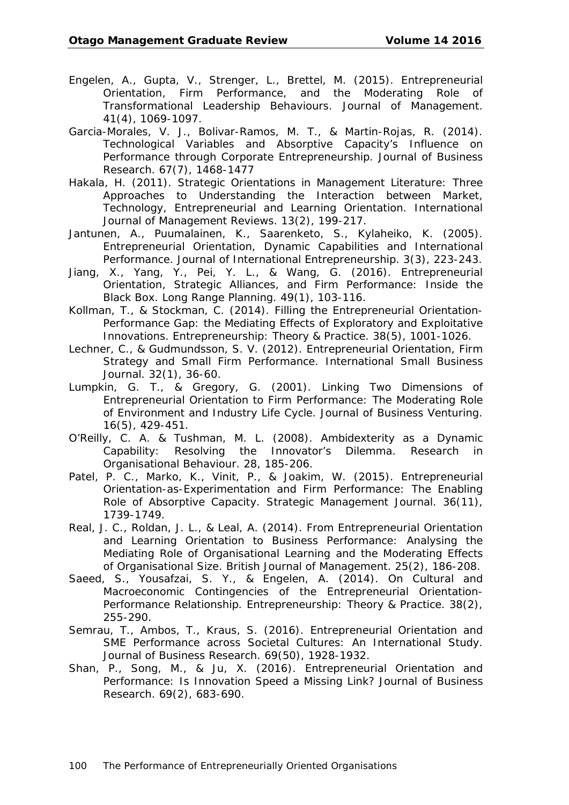- Engelen, A., Gupta, V., Strenger, L., Brettel, M. (2015). Entrepreneurial Orientation, Firm Performance, and the Moderating Role of Transformational Leadership Behaviours. *Journal of Management*. 41(4), 1069-1097.
- Garcia-Morales, V. J., Bolivar-Ramos, M. T., & Martin-Rojas, R. (2014). Technological Variables and Absorptive Capacity's Influence on Performance through Corporate Entrepreneurship. *Journal of Business Research*. 67(7), 1468-1477
- Hakala, H. (2011). Strategic Orientations in Management Literature: Three Approaches to Understanding the Interaction between Market, Technology, Entrepreneurial and Learning Orientation. *International Journal of Management Reviews*. 13(2), 199-217.
- Jantunen, A., Puumalainen, K., Saarenketo, S., Kylaheiko, K. (2005). Entrepreneurial Orientation, Dynamic Capabilities and International Performance. *Journal of International Entrepreneurship*. 3(3), 223-243.
- Jiang, X., Yang, Y., Pei, Y. L., & Wang, G. (2016). Entrepreneurial Orientation, Strategic Alliances, and Firm Performance: Inside the Black Box. *Long Range Planning*. 49(1), 103-116.
- Kollman, T., & Stockman, C. (2014). Filling the Entrepreneurial Orientation-Performance Gap: the Mediating Effects of Exploratory and Exploitative Innovations. *Entrepreneurship: Theory & Practice.* 38(5), 1001-1026.
- Lechner, C., & Gudmundsson, S. V. (2012). Entrepreneurial Orientation, Firm Strategy and Small Firm Performance. *International Small Business Journal*. 32(1), 36-60.
- Lumpkin, G. T., & Gregory, G. (2001). Linking Two Dimensions of Entrepreneurial Orientation to Firm Performance: The Moderating Role of Environment and Industry Life Cycle. *Journal of Business Venturing*. 16(5), 429-451.
- O'Reilly, C. A. & Tushman, M. L. (2008). Ambidexterity as a Dynamic Capability: Resolving the Innovator's Dilemma. *Research in Organisational Behaviour*. 28, 185-206.
- Patel, P. C., Marko, K., Vinit, P., & Joakim, W. (2015). Entrepreneurial Orientation-as-Experimentation and Firm Performance: The Enabling Role of Absorptive Capacity. *Strategic Management Journal*. 36(11), 1739-1749.
- Real, J. C., Roldan, J. L., & Leal, A. (2014). From Entrepreneurial Orientation and Learning Orientation to Business Performance: Analysing the Mediating Role of Organisational Learning and the Moderating Effects of Organisational Size. *British Journal of Management*. 25(2), 186-208.
- Saeed, S., Yousafzai, S. Y., & Engelen, A. (2014). On Cultural and Macroeconomic Contingencies of the Entrepreneurial Orientation-Performance Relationship. *Entrepreneurship: Theory & Practice.* 38(2), 255-290.
- Semrau, T., Ambos, T., Kraus, S. (2016). Entrepreneurial Orientation and SME Performance across Societal Cultures: An International Study. *Journal of Business Research*. 69(50), 1928-1932.
- Shan, P., Song, M., & Ju, X. (2016). Entrepreneurial Orientation and Performance: Is Innovation Speed a Missing Link? *Journal of Business Research*. 69(2), 683-690.